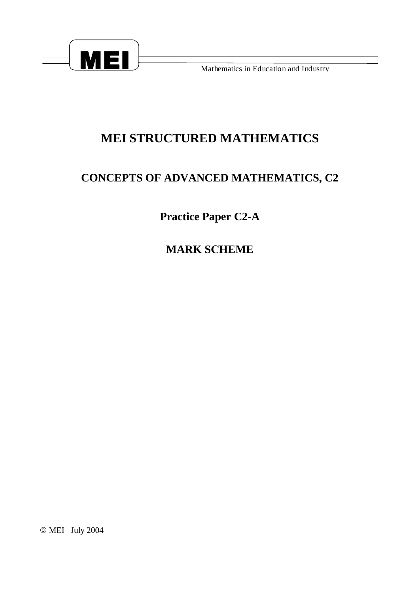

Mathematics in Education and Industry

## **MEI STRUCTURED MATHEMATICS**

## **CONCEPTS OF ADVANCED MATHEMATICS, C2**

**Practice Paper C2-A** 

**MARK SCHEME** 

© MEI July 2004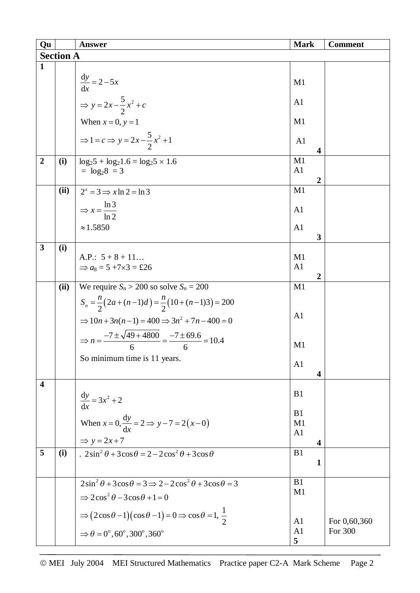| Qu                      |      | <b>Answer</b>                                                                         | <b>Mark</b>                        | <b>Comment</b>          |  |  |  |
|-------------------------|------|---------------------------------------------------------------------------------------|------------------------------------|-------------------------|--|--|--|
| <b>Section A</b>        |      |                                                                                       |                                    |                         |  |  |  |
| $\mathbf{1}$            |      |                                                                                       |                                    |                         |  |  |  |
|                         |      |                                                                                       |                                    |                         |  |  |  |
|                         |      | $\frac{dy}{dx} = 2 - 5x$                                                              | M1                                 |                         |  |  |  |
|                         |      | $\Rightarrow y = 2x - \frac{5}{2}x^2 + c$                                             | A <sub>1</sub>                     |                         |  |  |  |
|                         |      |                                                                                       |                                    |                         |  |  |  |
|                         |      | When $x = 0$ , $y = 1$                                                                | M1                                 |                         |  |  |  |
|                         |      |                                                                                       |                                    |                         |  |  |  |
|                         |      | $\Rightarrow 1 = c \Rightarrow y = 2x - \frac{5}{2}x^2 + 1$                           | A <sub>1</sub>                     |                         |  |  |  |
|                         |      |                                                                                       | 4                                  |                         |  |  |  |
| $\overline{2}$          | (i)  | $\log_2 5 + \log_2 1.6 = \log_2 5 \times 1.6$                                         | M1                                 |                         |  |  |  |
|                         |      | $=$ $log_2 8 = 3$                                                                     | A <sub>1</sub>                     |                         |  |  |  |
|                         | (ii) |                                                                                       | 2<br>M1                            |                         |  |  |  |
|                         |      | $2^x = 3 \implies x \ln 2 = \ln 3$                                                    |                                    |                         |  |  |  |
|                         |      | $\Rightarrow$ x = $\frac{\ln 3}{\ln 2}$                                               | A <sub>1</sub>                     |                         |  |  |  |
|                         |      |                                                                                       |                                    |                         |  |  |  |
|                         |      | $\approx$ 1.5850                                                                      | A <sub>1</sub>                     |                         |  |  |  |
|                         |      |                                                                                       | 3                                  |                         |  |  |  |
| $\overline{\mathbf{3}}$ | (i)  |                                                                                       |                                    |                         |  |  |  |
|                         |      | A.P.: $5+8+11$                                                                        | M1                                 |                         |  |  |  |
|                         |      | $\Rightarrow$ a <sub>8</sub> = 5 +7×3 = £26                                           | A <sub>1</sub><br>$\boldsymbol{2}$ |                         |  |  |  |
|                         | (ii) | We require $S_n > 200$ so solve $S_n = 200$                                           | M1                                 |                         |  |  |  |
|                         |      |                                                                                       |                                    |                         |  |  |  |
|                         |      | $S_n = \frac{n}{2}(2a + (n-1)d) = \frac{n}{2}(10 + (n-1)3) = 200$                     |                                    |                         |  |  |  |
|                         |      | $\Rightarrow 10n + 3n(n-1) = 400 \Rightarrow 3n^2 + 7n - 400 = 0$                     | A1                                 |                         |  |  |  |
|                         |      |                                                                                       |                                    |                         |  |  |  |
|                         |      | $\Rightarrow n = \frac{-7 \pm \sqrt{49 + 4800}}{6} = \frac{-7 \pm 69.6}{6} = 10.4$    |                                    |                         |  |  |  |
|                         |      |                                                                                       | M1                                 |                         |  |  |  |
|                         |      | So minimum time is 11 years.                                                          | A <sub>1</sub>                     |                         |  |  |  |
|                         |      |                                                                                       | $\overline{\mathbf{4}}$            |                         |  |  |  |
| $\overline{\mathbf{4}}$ |      |                                                                                       |                                    |                         |  |  |  |
|                         |      |                                                                                       | B1                                 |                         |  |  |  |
|                         |      | $\frac{dy}{dx} = 3x^2 + 2$                                                            |                                    |                         |  |  |  |
|                         |      |                                                                                       | B1                                 |                         |  |  |  |
|                         |      | When $x = 0$ , $\frac{dy}{dx} = 2 \implies y - 7 = 2(x - 0)$                          | M1                                 |                         |  |  |  |
|                         |      | $\Rightarrow$ y = 2x + 7                                                              | A <sub>1</sub>                     |                         |  |  |  |
| 5                       | (i)  | $2\sin^2\theta + 3\cos\theta = 2 - 2\overline{\cos^2\theta + 3\cos\theta}$            | $\boldsymbol{4}$<br>B1             |                         |  |  |  |
|                         |      |                                                                                       | 1                                  |                         |  |  |  |
|                         |      |                                                                                       |                                    |                         |  |  |  |
|                         |      | $2\sin^2\theta + 3\cos\theta = 3 \implies 2 - 2\cos^2\theta + 3\cos\theta = 3$        | B1                                 |                         |  |  |  |
|                         |      | $\Rightarrow$ 2cos <sup>2</sup> $\theta$ - 3cos $\theta$ + 1 = 0                      | M1                                 |                         |  |  |  |
|                         |      |                                                                                       |                                    |                         |  |  |  |
|                         |      | $\Rightarrow$ $(2\cos\theta-1)(\cos\theta-1)=0 \Rightarrow \cos\theta=1, \frac{1}{2}$ |                                    |                         |  |  |  |
|                         |      |                                                                                       | A <sub>1</sub><br>A <sub>1</sub>   | For 0,60,360<br>For 300 |  |  |  |
|                         |      | $\Rightarrow$ $\theta = 0^\circ$ , 60°, 300°, 360°                                    | 5                                  |                         |  |  |  |
|                         |      |                                                                                       |                                    |                         |  |  |  |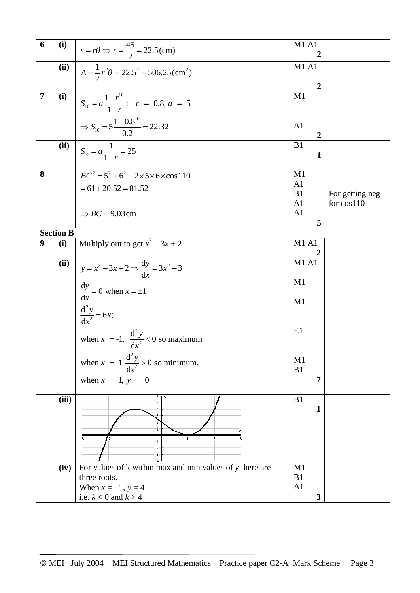| 6              | (i)              | $s = r\theta \Rightarrow r = \frac{45}{2} = 22.5$ (cm)              | <b>M1 A1</b><br>2 |                 |
|----------------|------------------|---------------------------------------------------------------------|-------------------|-----------------|
|                | (iii)            |                                                                     | M1 A1             |                 |
|                |                  | $A = \frac{1}{2}r^2\theta = 22.5^2 = 506.25 \text{(cm}^2)$          |                   |                 |
|                |                  |                                                                     | $\boldsymbol{2}$  |                 |
| $\overline{7}$ | (i)              |                                                                     | M1                |                 |
|                |                  | $S_{10} = a \frac{1 - r^{10}}{1 - r}$ ; $r = 0.8, a = 5$            |                   |                 |
|                |                  |                                                                     |                   |                 |
|                |                  | $\Rightarrow$ S <sub>10</sub> = 5 $\frac{1-0.8^{10}}{0.2}$ = 22.32  | A <sub>1</sub>    |                 |
|                |                  |                                                                     | $\overline{2}$    |                 |
|                | (ii)             |                                                                     | B1                |                 |
|                |                  | $S_{\infty} = a \frac{1}{1-r} = 25$                                 | $\mathbf{1}$      |                 |
|                |                  |                                                                     |                   |                 |
| 8              |                  | $\overline{BC}^2 = 5^2 + 6^2 - 2 \times 5 \times 6 \times \cos 110$ | M1                |                 |
|                |                  |                                                                     | A <sub>1</sub>    |                 |
|                |                  | $= 61 + 20.52 = 81.52$                                              | B1                | For getting neg |
|                |                  |                                                                     | A <sub>1</sub>    | for cos110      |
|                |                  | $\Rightarrow BC = 9.03$ cm                                          | A1                |                 |
|                |                  |                                                                     | 5                 |                 |
|                | <b>Section B</b> |                                                                     |                   |                 |
| 9              | (i)              | Multiply out to get $x^3 - 3x + 2$                                  | <b>M1 A1</b>      |                 |
|                |                  |                                                                     | 2                 |                 |
|                | (ii)             | $y = x^3 - 3x + 2 \implies \frac{dy}{dx} = 3x^2 - 3$                | M1A1              |                 |
|                |                  |                                                                     |                   |                 |
|                |                  |                                                                     | M1                |                 |
|                |                  | $\frac{dy}{dx} = 0$ when $x = \pm 1$                                |                   |                 |
|                |                  |                                                                     | M1                |                 |
|                |                  | $\frac{d^2 y}{dx^2} = 6x;$                                          |                   |                 |
|                |                  |                                                                     |                   |                 |
|                |                  |                                                                     | E1                |                 |
|                |                  | when $x = -1$ , $\frac{d^2 y}{dx^2} < 0$ so maximum                 |                   |                 |
|                |                  |                                                                     | M1                |                 |
|                |                  | when $x = 1 \frac{d^2 y}{dx^2} > 0$ so minimum.                     | B1                |                 |
|                |                  | when $x = 1$ , $y = 0$                                              | 7                 |                 |
|                |                  |                                                                     |                   |                 |
|                | (iii)            |                                                                     | B1                |                 |
|                |                  |                                                                     | $\mathbf{1}$      |                 |
|                |                  |                                                                     |                   |                 |
|                |                  |                                                                     |                   |                 |
|                |                  | $-3$<br>$-1$<br>2<br>$-1$                                           |                   |                 |
|                |                  | -2                                                                  |                   |                 |
|                |                  | -3                                                                  |                   |                 |
|                | (iv)             | For values of $k$ within max and min values of $y$ there are        | M1                |                 |
|                |                  | three roots.                                                        | B1                |                 |
|                |                  | When $x = -1$ , $y = 4$                                             | A1                |                 |
|                |                  | i.e. $k < 0$ and $k > 4$                                            | $\mathbf{3}$      |                 |